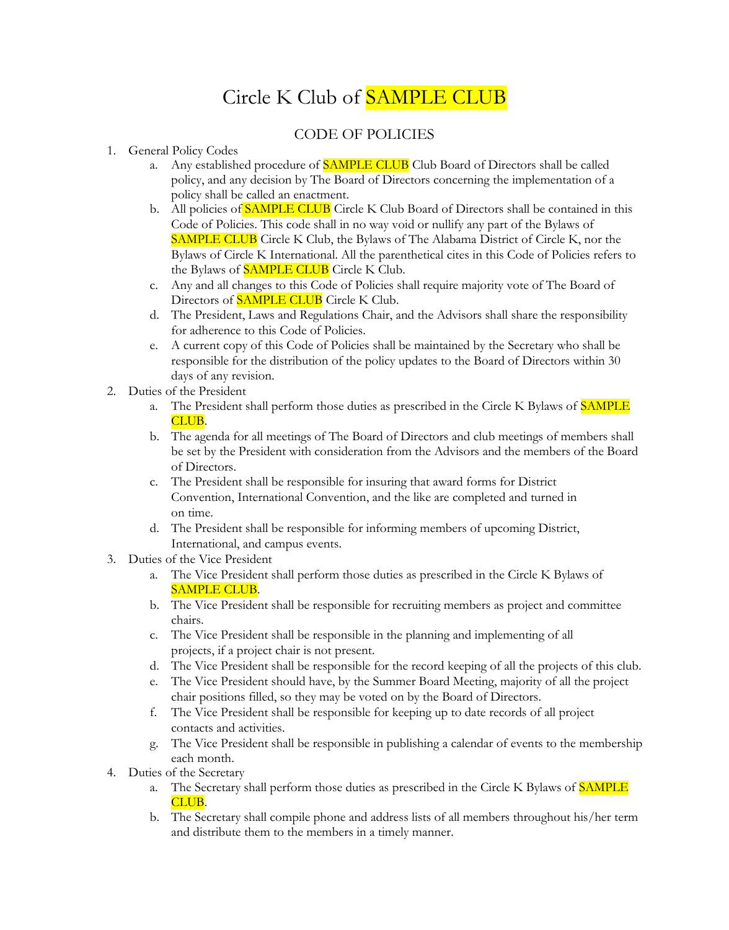## Circle K Club of **SAMPLE CLUB**

## CODE OF POLICIES

- 1. General Policy Codes
	- a. Any established procedure of SAMPLE CLUB Club Board of Directors shall be called policy, and any decision by The Board of Directors concerning the implementation of a policy shall be called an enactment.
	- b. All policies of **SAMPLE CLUB** Circle K Club Board of Directors shall be contained in this Code of Policies. This code shall in no way void or nullify any part of the Bylaws of SAMPLE CLUB Circle K Club, the Bylaws of The Alabama District of Circle K, nor the Bylaws of Circle K International. All the parenthetical cites in this Code of Policies refers to the Bylaws of **SAMPLE CLUB** Circle K Club.
	- c. Any and all changes to this Code of Policies shall require majority vote of The Board of Directors of **SAMPLE CLUB** Circle K Club.
	- d. The President, Laws and Regulations Chair, and the Advisors shall share the responsibility for adherence to this Code of Policies.
	- e. A current copy of this Code of Policies shall be maintained by the Secretary who shall be responsible for the distribution of the policy updates to the Board of Directors within 30 days of any revision.
- 2. Duties of the President
	- a. The President shall perform those duties as prescribed in the Circle K Bylaws of SAMPLE CLUB.
	- b. The agenda for all meetings of The Board of Directors and club meetings of members shall be set by the President with consideration from the Advisors and the members of the Board of Directors.
	- c. The President shall be responsible for insuring that award forms for District Convention, International Convention, and the like are completed and turned in on time.
	- d. The President shall be responsible for informing members of upcoming District, International, and campus events.
- 3. Duties of the Vice President
	- a. The Vice President shall perform those duties as prescribed in the Circle K Bylaws of SAMPLE CLUB.
	- b. The Vice President shall be responsible for recruiting members as project and committee chairs.
	- c. The Vice President shall be responsible in the planning and implementing of all projects, if a project chair is not present.
	- d. The Vice President shall be responsible for the record keeping of all the projects of this club.
	- e. The Vice President should have, by the Summer Board Meeting, majority of all the project chair positions filled, so they may be voted on by the Board of Directors.
	- f. The Vice President shall be responsible for keeping up to date records of all project contacts and activities.
	- g. The Vice President shall be responsible in publishing a calendar of events to the membership each month.
- 4. Duties of the Secretary
	- a. The Secretary shall perform those duties as prescribed in the Circle K Bylaws of **SAMPLE** CLUB.
	- b. The Secretary shall compile phone and address lists of all members throughout his/her term and distribute them to the members in a timely manner.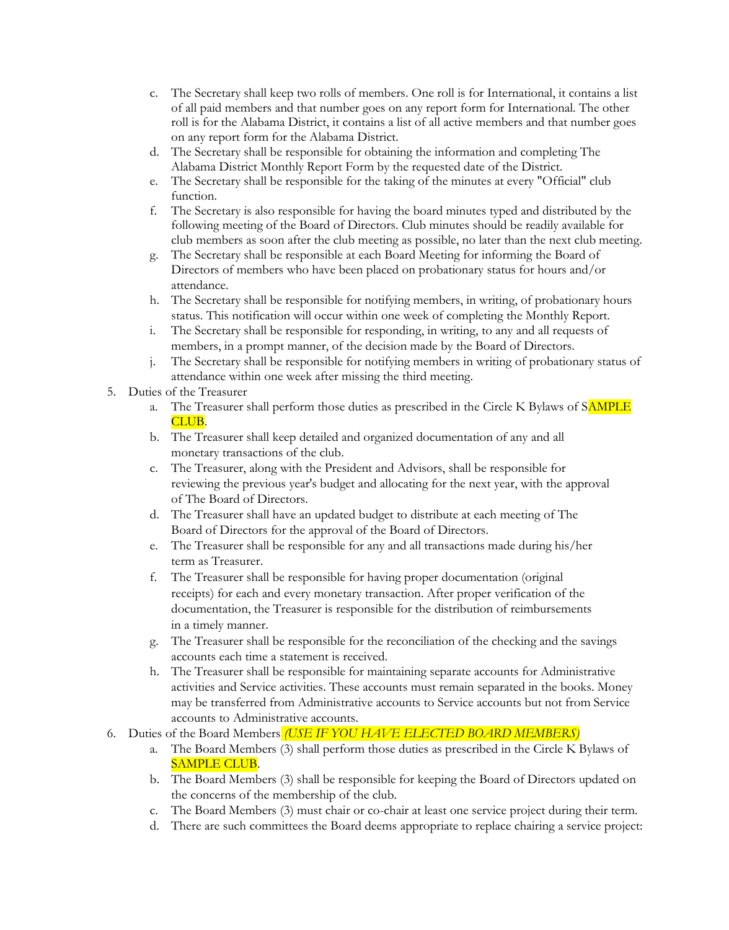- c. The Secretary shall keep two rolls of members. One roll is for International, it contains a list of all paid members and that number goes on any report form for International. The other roll is for the Alabama District, it contains a list of all active members and that number goes on any report form for the Alabama District.
- d. The Secretary shall be responsible for obtaining the information and completing The Alabama District Monthly Report Form by the requested date of the District.
- e. The Secretary shall be responsible for the taking of the minutes at every "Official" club function.
- f. The Secretary is also responsible for having the board minutes typed and distributed by the following meeting of the Board of Directors. Club minutes should be readily available for club members as soon after the club meeting as possible, no later than the next club meeting.
- g. The Secretary shall be responsible at each Board Meeting for informing the Board of Directors of members who have been placed on probationary status for hours and/or attendance.
- h. The Secretary shall be responsible for notifying members, in writing, of probationary hours status. This notification will occur within one week of completing the Monthly Report.
- i. The Secretary shall be responsible for responding, in writing, to any and all requests of members, in a prompt manner, of the decision made by the Board of Directors.
- j. The Secretary shall be responsible for notifying members in writing of probationary status of attendance within one week after missing the third meeting.
- 5. Duties of the Treasurer
	- a. The Treasurer shall perform those duties as prescribed in the Circle K Bylaws of SAMPLE CLUB.
	- b. The Treasurer shall keep detailed and organized documentation of any and all monetary transactions of the club.
	- c. The Treasurer, along with the President and Advisors, shall be responsible for reviewing the previous year's budget and allocating for the next year, with the approval of The Board of Directors.
	- d. The Treasurer shall have an updated budget to distribute at each meeting of The Board of Directors for the approval of the Board of Directors.
	- e. The Treasurer shall be responsible for any and all transactions made during his/her term as Treasurer.
	- f. The Treasurer shall be responsible for having proper documentation (original receipts) for each and every monetary transaction. After proper verification of the documentation, the Treasurer is responsible for the distribution of reimbursements in a timely manner.
	- g. The Treasurer shall be responsible for the reconciliation of the checking and the savings accounts each time a statement is received.
	- h. The Treasurer shall be responsible for maintaining separate accounts for Administrative activities and Service activities. These accounts must remain separated in the books. Money may be transferred from Administrative accounts to Service accounts but not from Service accounts to Administrative accounts.
- 6. Duties of the Board Members *(USE IF YOU HAVE ELECTED BOARD MEMBERS)*
	- a. The Board Members (3) shall perform those duties as prescribed in the Circle K Bylaws of SAMPLE CLUB.
	- b. The Board Members (3) shall be responsible for keeping the Board of Directors updated on the concerns of the membership of the club.
	- c. The Board Members (3) must chair or co-chair at least one service project during their term.
	- d. There are such committees the Board deems appropriate to replace chairing a service project: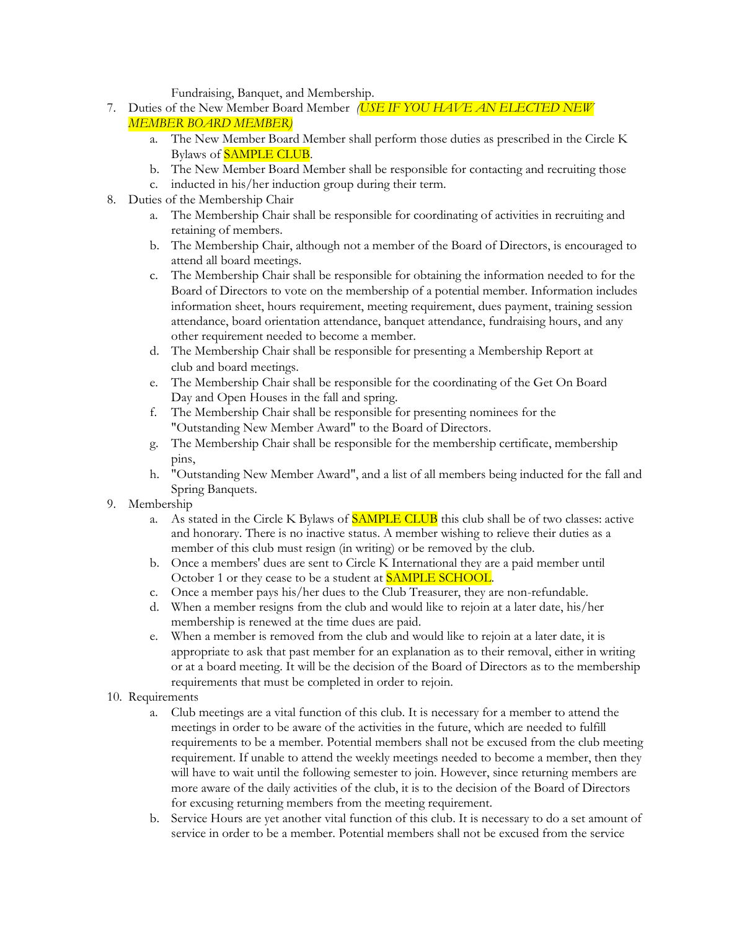Fundraising, Banquet, and Membership.

- 7. Duties of the New Member Board Member *(USE IF YOU HAVE AN ELECTED NEW MEMBER BOARD MEMBER)*
	- a. The New Member Board Member shall perform those duties as prescribed in the Circle K Bylaws of SAMPLE CLUB.
	- b. The New Member Board Member shall be responsible for contacting and recruiting those
	- c. inducted in his/her induction group during their term.
- 8. Duties of the Membership Chair
	- a. The Membership Chair shall be responsible for coordinating of activities in recruiting and retaining of members.
	- b. The Membership Chair, although not a member of the Board of Directors, is encouraged to attend all board meetings.
	- c. The Membership Chair shall be responsible for obtaining the information needed to for the Board of Directors to vote on the membership of a potential member. Information includes information sheet, hours requirement, meeting requirement, dues payment, training session attendance, board orientation attendance, banquet attendance, fundraising hours, and any other requirement needed to become a member.
	- d. The Membership Chair shall be responsible for presenting a Membership Report at club and board meetings.
	- e. The Membership Chair shall be responsible for the coordinating of the Get On Board Day and Open Houses in the fall and spring.
	- f. The Membership Chair shall be responsible for presenting nominees for the "Outstanding New Member Award" to the Board of Directors.
	- g. The Membership Chair shall be responsible for the membership certificate, membership pins,
	- h. "Outstanding New Member Award", and a list of all members being inducted for the fall and Spring Banquets.
- 9. Membership
	- a. As stated in the Circle K Bylaws of SAMPLE CLUB this club shall be of two classes: active and honorary. There is no inactive status. A member wishing to relieve their duties as a member of this club must resign (in writing) or be removed by the club.
	- b. Once a members' dues are sent to Circle K International they are a paid member until October 1 or they cease to be a student at **SAMPLE SCHOOL**.
	- c. Once a member pays his/her dues to the Club Treasurer, they are non-refundable.
	- d. When a member resigns from the club and would like to rejoin at a later date, his/her membership is renewed at the time dues are paid.
	- e. When a member is removed from the club and would like to rejoin at a later date, it is appropriate to ask that past member for an explanation as to their removal, either in writing or at a board meeting. It will be the decision of the Board of Directors as to the membership requirements that must be completed in order to rejoin.
- 10. Requirements
	- a. Club meetings are a vital function of this club. It is necessary for a member to attend the meetings in order to be aware of the activities in the future, which are needed to fulfill requirements to be a member. Potential members shall not be excused from the club meeting requirement. If unable to attend the weekly meetings needed to become a member, then they will have to wait until the following semester to join. However, since returning members are more aware of the daily activities of the club, it is to the decision of the Board of Directors for excusing returning members from the meeting requirement.
	- b. Service Hours are yet another vital function of this club. It is necessary to do a set amount of service in order to be a member. Potential members shall not be excused from the service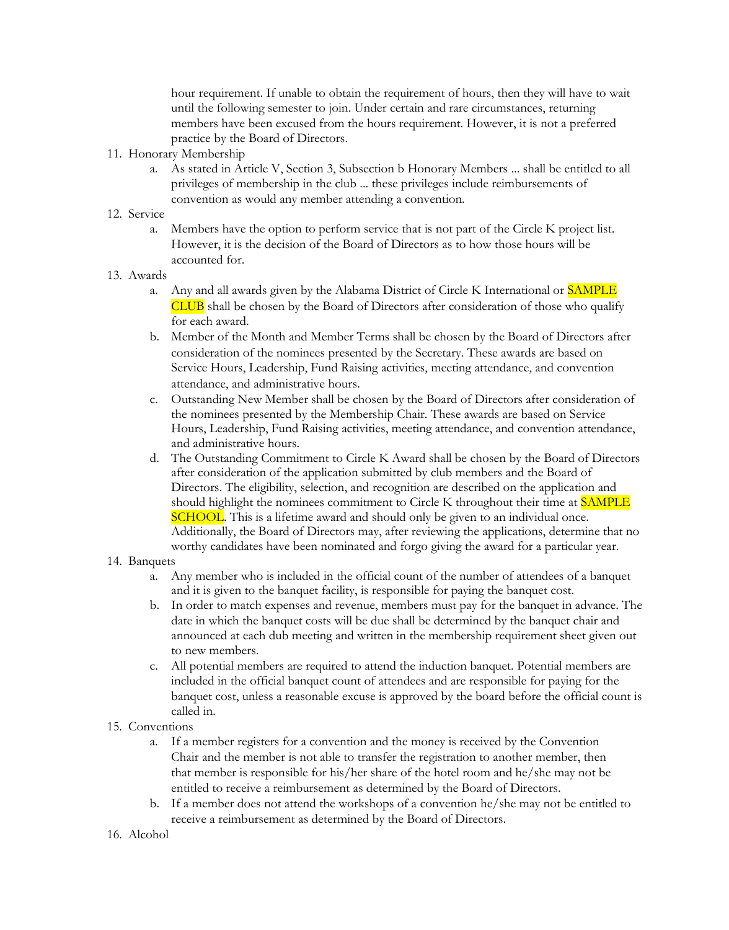hour requirement. If unable to obtain the requirement of hours, then they will have to wait until the following semester to join. Under certain and rare circumstances, returning members have been excused from the hours requirement. However, it is not a preferred practice by the Board of Directors.

- 11. Honorary Membership
	- a. As stated in Article V, Section 3, Subsection b Honorary Members ... shall be entitled to all privileges of membership in the club ... these privileges include reimbursements of convention as would any member attending a convention.
- 12. Service
	- a. Members have the option to perform service that is not part of the Circle K project list. However, it is the decision of the Board of Directors as to how those hours will be accounted for.
- 13. Awards
	- a. Any and all awards given by the Alabama District of Circle K International or SAMPLE CLUB shall be chosen by the Board of Directors after consideration of those who qualify for each award.
	- b. Member of the Month and Member Terms shall be chosen by the Board of Directors after consideration of the nominees presented by the Secretary. These awards are based on Service Hours, Leadership, Fund Raising activities, meeting attendance, and convention attendance, and administrative hours.
	- c. Outstanding New Member shall be chosen by the Board of Directors after consideration of the nominees presented by the Membership Chair. These awards are based on Service Hours, Leadership, Fund Raising activities, meeting attendance, and convention attendance, and administrative hours.
	- d. The Outstanding Commitment to Circle K Award shall be chosen by the Board of Directors after consideration of the application submitted by club members and the Board of Directors. The eligibility, selection, and recognition are described on the application and should highlight the nominees commitment to Circle K throughout their time at SAMPLE **SCHOOL.** This is a lifetime award and should only be given to an individual once. Additionally, the Board of Directors may, after reviewing the applications, determine that no worthy candidates have been nominated and forgo giving the award for a particular year.
- 14. Banquets
	- a. Any member who is included in the official count of the number of attendees of a banquet and it is given to the banquet facility, is responsible for paying the banquet cost.
	- b. In order to match expenses and revenue, members must pay for the banquet in advance. The date in which the banquet costs will be due shall be determined by the banquet chair and announced at each dub meeting and written in the membership requirement sheet given out to new members.
	- c. All potential members are required to attend the induction banquet. Potential members are included in the official banquet count of attendees and are responsible for paying for the banquet cost, unless a reasonable excuse is approved by the board before the official count is called in.
- 15. Conventions
	- a. If a member registers for a convention and the money is received by the Convention Chair and the member is not able to transfer the registration to another member, then that member is responsible for his/her share of the hotel room and he/she may not be entitled to receive a reimbursement as determined by the Board of Directors.
	- b. If a member does not attend the workshops of a convention he/she may not be entitled to receive a reimbursement as determined by the Board of Directors.
- 16. Alcohol